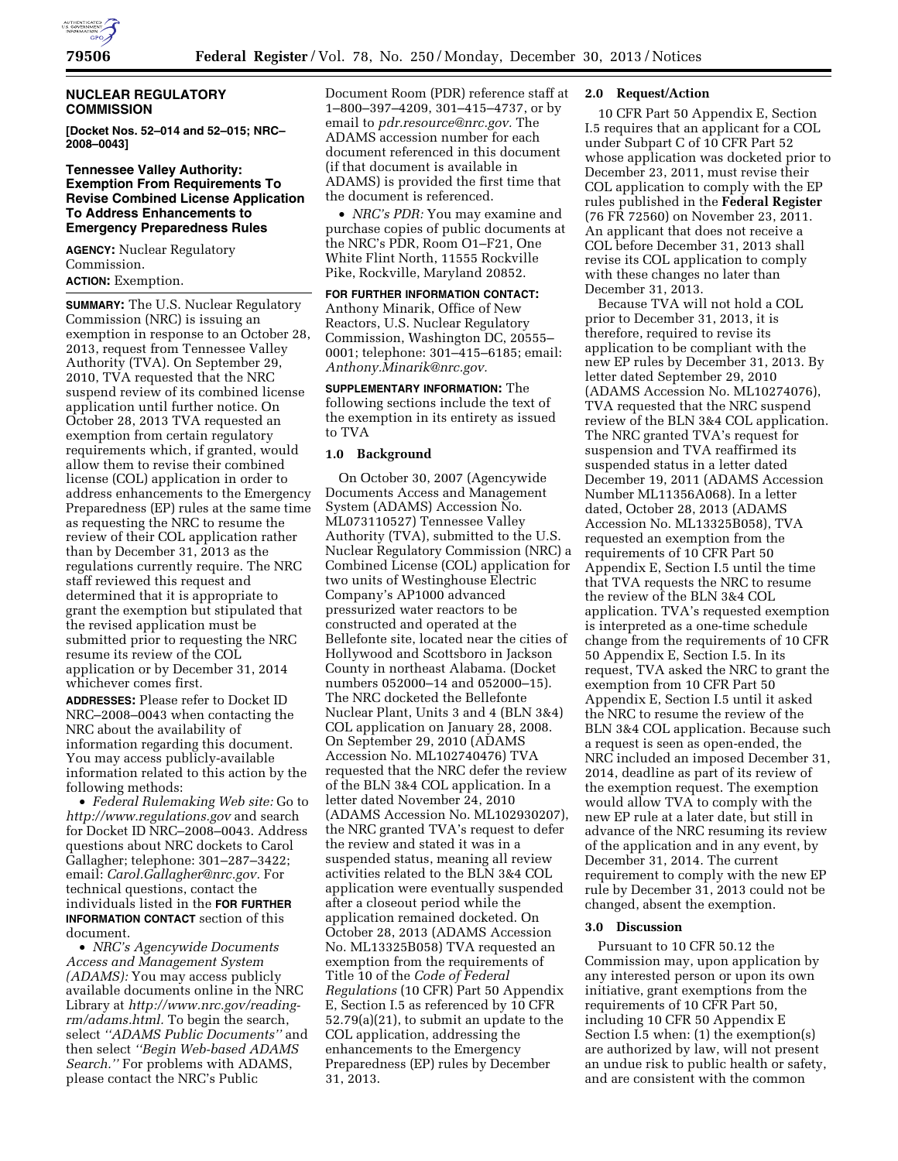

# **NUCLEAR REGULATORY COMMISSION**

**[Docket Nos. 52–014 and 52–015; NRC– 2008–0043]** 

# **Tennessee Valley Authority: Exemption From Requirements To Revise Combined License Application To Address Enhancements to Emergency Preparedness Rules**

**AGENCY:** Nuclear Regulatory Commission.

# **ACTION:** Exemption.

**SUMMARY:** The U.S. Nuclear Regulatory Commission (NRC) is issuing an exemption in response to an October 28, 2013, request from Tennessee Valley Authority (TVA). On September 29, 2010, TVA requested that the NRC suspend review of its combined license application until further notice. On October 28, 2013 TVA requested an exemption from certain regulatory requirements which, if granted, would allow them to revise their combined license (COL) application in order to address enhancements to the Emergency Preparedness (EP) rules at the same time as requesting the NRC to resume the review of their COL application rather than by December 31, 2013 as the regulations currently require. The NRC staff reviewed this request and determined that it is appropriate to grant the exemption but stipulated that the revised application must be submitted prior to requesting the NRC resume its review of the COL application or by December 31, 2014 whichever comes first.

**ADDRESSES:** Please refer to Docket ID NRC–2008–0043 when contacting the NRC about the availability of information regarding this document. You may access publicly-available information related to this action by the following methods:

• *Federal Rulemaking Web site:* Go to *<http://www.regulations.gov>* and search for Docket ID NRC–2008–0043. Address questions about NRC dockets to Carol Gallagher; telephone: 301–287–3422; email: *[Carol.Gallagher@nrc.gov.](mailto:Carol.Gallagher@nrc.gov)* For technical questions, contact the individuals listed in the **FOR FURTHER INFORMATION CONTACT** section of this document.

• *NRC's Agencywide Documents Access and Management System (ADAMS):* You may access publicly available documents online in the NRC Library at *[http://www.nrc.gov/reading](http://www.nrc.gov/reading-rm/adams.html)[rm/adams.html.](http://www.nrc.gov/reading-rm/adams.html)* To begin the search, select *''ADAMS Public Documents''* and then select *''Begin Web-based ADAMS Search.''* For problems with ADAMS, please contact the NRC's Public

Document Room (PDR) reference staff at 1–800–397–4209, 301–415–4737, or by email to *[pdr.resource@nrc.gov.](mailto:pdr.resource@nrc.gov)* The ADAMS accession number for each document referenced in this document (if that document is available in ADAMS) is provided the first time that the document is referenced.

• *NRC's PDR:* You may examine and purchase copies of public documents at the NRC's PDR, Room O1–F21, One White Flint North, 11555 Rockville Pike, Rockville, Maryland 20852.

# **FOR FURTHER INFORMATION CONTACT:**

Anthony Minarik, Office of New Reactors, U.S. Nuclear Regulatory Commission, Washington DC, 20555– 0001; telephone: 301–415–6185; email: *[Anthony.Minarik@nrc.gov.](mailto:Anthony.Minarik@nrc.gov)* 

**SUPPLEMENTARY INFORMATION:** The following sections include the text of the exemption in its entirety as issued to TVA

### **1.0 Background**

On October 30, 2007 (Agencywide Documents Access and Management System (ADAMS) Accession No. ML073110527) Tennessee Valley Authority (TVA), submitted to the U.S. Nuclear Regulatory Commission (NRC) a Combined License (COL) application for two units of Westinghouse Electric Company's AP1000 advanced pressurized water reactors to be constructed and operated at the Bellefonte site, located near the cities of Hollywood and Scottsboro in Jackson County in northeast Alabama. (Docket numbers 052000–14 and 052000–15). The NRC docketed the Bellefonte Nuclear Plant, Units 3 and 4 (BLN 3&4) COL application on January 28, 2008. On September 29, 2010 (ADAMS Accession No. ML102740476) TVA requested that the NRC defer the review of the BLN 3&4 COL application. In a letter dated November 24, 2010 (ADAMS Accession No. ML102930207), the NRC granted TVA's request to defer the review and stated it was in a suspended status, meaning all review activities related to the BLN 3&4 COL application were eventually suspended after a closeout period while the application remained docketed. On October 28, 2013 (ADAMS Accession No. ML13325B058) TVA requested an exemption from the requirements of Title 10 of the *Code of Federal Regulations* (10 CFR) Part 50 Appendix E, Section I.5 as referenced by 10 CFR 52.79(a)(21), to submit an update to the COL application, addressing the enhancements to the Emergency Preparedness (EP) rules by December 31, 2013.

# **2.0 Request/Action**

10 CFR Part 50 Appendix E, Section I.5 requires that an applicant for a COL under Subpart C of 10 CFR Part 52 whose application was docketed prior to December 23, 2011, must revise their COL application to comply with the EP rules published in the **Federal Register**  (76 FR 72560) on November 23, 2011. An applicant that does not receive a COL before December 31, 2013 shall revise its COL application to comply with these changes no later than December 31, 2013.

Because TVA will not hold a COL prior to December 31, 2013, it is therefore, required to revise its application to be compliant with the new EP rules by December 31, 2013. By letter dated September 29, 2010 (ADAMS Accession No. ML10274076), TVA requested that the NRC suspend review of the BLN 3&4 COL application. The NRC granted TVA's request for suspension and TVA reaffirmed its suspended status in a letter dated December 19, 2011 (ADAMS Accession Number ML11356A068). In a letter dated, October 28, 2013 (ADAMS Accession No. ML13325B058), TVA requested an exemption from the requirements of 10 CFR Part 50 Appendix E, Section I.5 until the time that TVA requests the NRC to resume the review of the BLN 3&4 COL application. TVA's requested exemption is interpreted as a one-time schedule change from the requirements of 10 CFR 50 Appendix E, Section I.5. In its request, TVA asked the NRC to grant the exemption from 10 CFR Part 50 Appendix E, Section I.5 until it asked the NRC to resume the review of the BLN 3&4 COL application. Because such a request is seen as open-ended, the NRC included an imposed December 31, 2014, deadline as part of its review of the exemption request. The exemption would allow TVA to comply with the new EP rule at a later date, but still in advance of the NRC resuming its review of the application and in any event, by December 31, 2014. The current requirement to comply with the new EP rule by December 31, 2013 could not be changed, absent the exemption.

#### **3.0 Discussion**

Pursuant to 10 CFR 50.12 the Commission may, upon application by any interested person or upon its own initiative, grant exemptions from the requirements of 10 CFR Part 50, including 10 CFR 50 Appendix E Section I.5 when: (1) the exemption(s) are authorized by law, will not present an undue risk to public health or safety, and are consistent with the common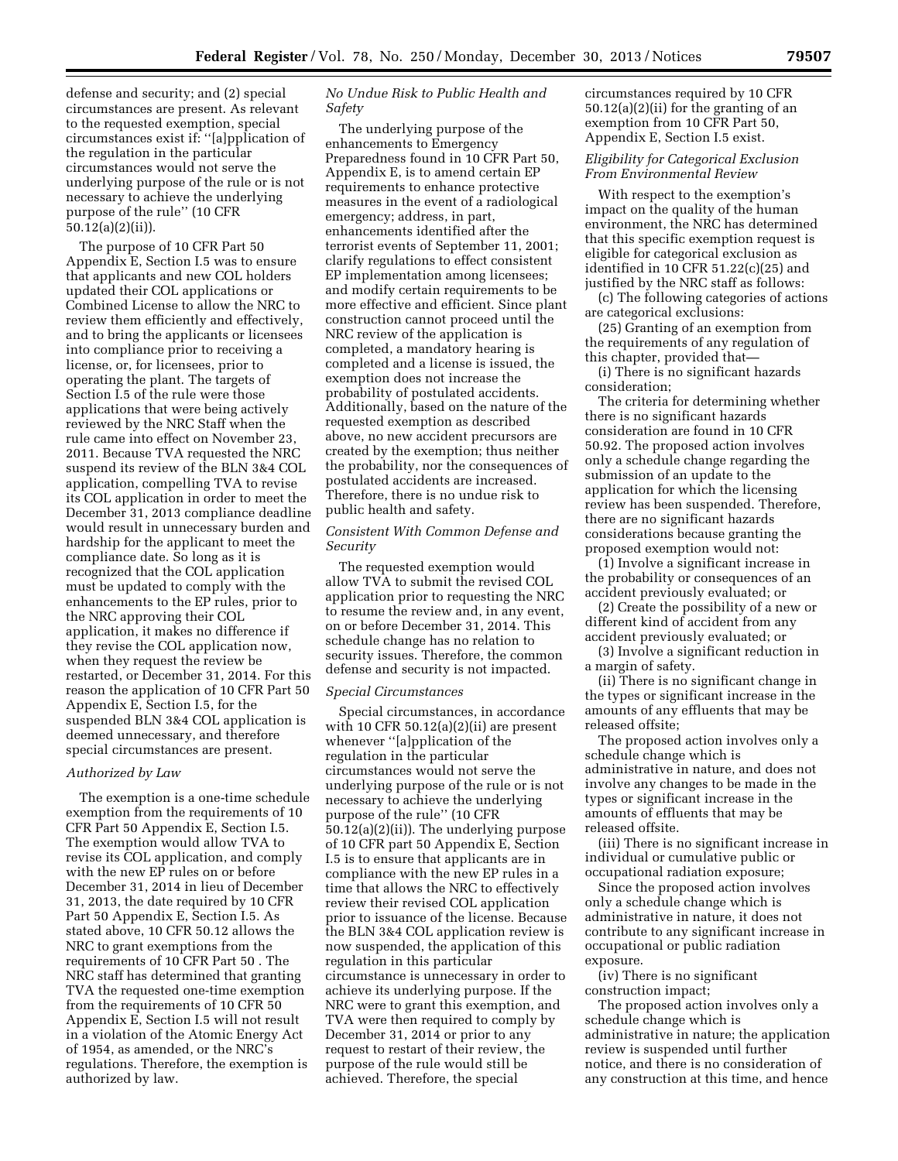defense and security; and (2) special circumstances are present. As relevant to the requested exemption, special circumstances exist if: ''[a]pplication of the regulation in the particular circumstances would not serve the underlying purpose of the rule or is not necessary to achieve the underlying purpose of the rule'' (10 CFR 50.12(a)(2)(ii)).

The purpose of 10 CFR Part 50 Appendix E, Section I.5 was to ensure that applicants and new COL holders updated their COL applications or Combined License to allow the NRC to review them efficiently and effectively, and to bring the applicants or licensees into compliance prior to receiving a license, or, for licensees, prior to operating the plant. The targets of Section I.5 of the rule were those applications that were being actively reviewed by the NRC Staff when the rule came into effect on November 23, 2011. Because TVA requested the NRC suspend its review of the BLN 3&4 COL application, compelling TVA to revise its COL application in order to meet the December 31, 2013 compliance deadline would result in unnecessary burden and hardship for the applicant to meet the compliance date. So long as it is recognized that the COL application must be updated to comply with the enhancements to the EP rules, prior to the NRC approving their COL application, it makes no difference if they revise the COL application now, when they request the review be restarted, or December 31, 2014. For this reason the application of 10 CFR Part 50 Appendix E, Section I.5, for the suspended BLN 3&4 COL application is deemed unnecessary, and therefore special circumstances are present.

#### *Authorized by Law*

The exemption is a one-time schedule exemption from the requirements of 10 CFR Part 50 Appendix E, Section I.5. The exemption would allow TVA to revise its COL application, and comply with the new EP rules on or before December 31, 2014 in lieu of December 31, 2013, the date required by 10 CFR Part 50 Appendix E, Section I.5. As stated above, 10 CFR 50.12 allows the NRC to grant exemptions from the requirements of 10 CFR Part 50 . The NRC staff has determined that granting TVA the requested one-time exemption from the requirements of 10 CFR 50 Appendix E, Section I.5 will not result in a violation of the Atomic Energy Act of 1954, as amended, or the NRC's regulations. Therefore, the exemption is authorized by law.

# *No Undue Risk to Public Health and Safety*

The underlying purpose of the enhancements to Emergency Preparedness found in 10 CFR Part 50, Appendix E, is to amend certain EP requirements to enhance protective measures in the event of a radiological emergency; address, in part, enhancements identified after the terrorist events of September 11, 2001; clarify regulations to effect consistent EP implementation among licensees; and modify certain requirements to be more effective and efficient. Since plant construction cannot proceed until the NRC review of the application is completed, a mandatory hearing is completed and a license is issued, the exemption does not increase the probability of postulated accidents. Additionally, based on the nature of the requested exemption as described above, no new accident precursors are created by the exemption; thus neither the probability, nor the consequences of postulated accidents are increased. Therefore, there is no undue risk to public health and safety.

# *Consistent With Common Defense and Security*

The requested exemption would allow TVA to submit the revised COL application prior to requesting the NRC to resume the review and, in any event, on or before December 31, 2014. This schedule change has no relation to security issues. Therefore, the common defense and security is not impacted.

# *Special Circumstances*

Special circumstances, in accordance with 10 CFR  $50.12(a)(2)(ii)$  are present whenever "[a]pplication of the regulation in the particular circumstances would not serve the underlying purpose of the rule or is not necessary to achieve the underlying purpose of the rule'' (10 CFR 50.12(a)(2)(ii)). The underlying purpose of 10 CFR part 50 Appendix E, Section I.5 is to ensure that applicants are in compliance with the new EP rules in a time that allows the NRC to effectively review their revised COL application prior to issuance of the license. Because the BLN 3&4 COL application review is now suspended, the application of this regulation in this particular circumstance is unnecessary in order to achieve its underlying purpose. If the NRC were to grant this exemption, and TVA were then required to comply by December 31, 2014 or prior to any request to restart of their review, the purpose of the rule would still be achieved. Therefore, the special

circumstances required by 10 CFR 50.12(a)(2)(ii) for the granting of an exemption from 10 CFR Part 50, Appendix E, Section I.5 exist.

# *Eligibility for Categorical Exclusion From Environmental Review*

With respect to the exemption's impact on the quality of the human environment, the NRC has determined that this specific exemption request is eligible for categorical exclusion as identified in 10 CFR 51.22(c)(25) and justified by the NRC staff as follows:

(c) The following categories of actions are categorical exclusions:

(25) Granting of an exemption from the requirements of any regulation of this chapter, provided that—

(i) There is no significant hazards consideration;

The criteria for determining whether there is no significant hazards consideration are found in 10 CFR 50.92. The proposed action involves only a schedule change regarding the submission of an update to the application for which the licensing review has been suspended. Therefore, there are no significant hazards considerations because granting the proposed exemption would not:

(1) Involve a significant increase in the probability or consequences of an accident previously evaluated; or

(2) Create the possibility of a new or different kind of accident from any accident previously evaluated; or

(3) Involve a significant reduction in a margin of safety.

(ii) There is no significant change in the types or significant increase in the amounts of any effluents that may be released offsite;

The proposed action involves only a schedule change which is administrative in nature, and does not involve any changes to be made in the types or significant increase in the amounts of effluents that may be released offsite.

(iii) There is no significant increase in individual or cumulative public or occupational radiation exposure;

Since the proposed action involves only a schedule change which is administrative in nature, it does not contribute to any significant increase in occupational or public radiation exposure.

(iv) There is no significant construction impact;

The proposed action involves only a schedule change which is administrative in nature; the application review is suspended until further notice, and there is no consideration of any construction at this time, and hence